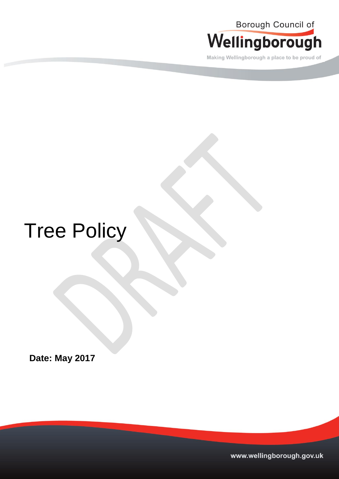

Making Wellingborough a place to be proud of

# Tree Policy

**Date: May 2017** 

www.wellingborough.gov.uk Tel: 01933 22977 DX 12977 DX 12977 DX 12977 DX 12877 DX 12877 WWW.wellingborough.gov.uk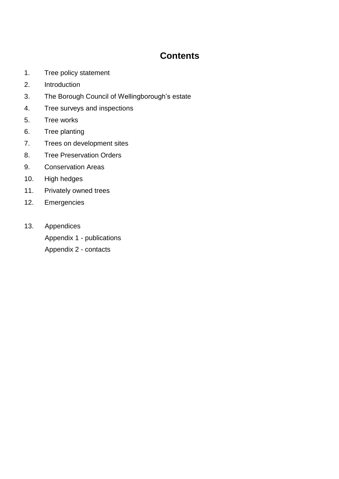### **Contents**

- 1. Tree policy statement
- 2. Introduction
- 3. The Borough Council of Wellingborough's estate
- 4. Tree surveys and inspections
- 5. Tree works
- 6. Tree planting
- 7. Trees on development sites
- 8. Tree Preservation Orders
- 9. Conservation Areas
- 10. High hedges
- 11. Privately owned trees
- 12. Emergencies
- 13. Appendices Appendix 1 - publications Appendix 2 - contacts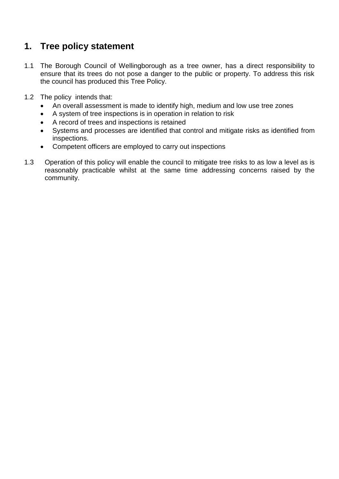## **1. Tree policy statement**

- 1.1 The Borough Council of Wellingborough as a tree owner, has a direct responsibility to ensure that its trees do not pose a danger to the public or property. To address this risk the council has produced this Tree Policy.
- 1.2 The policy intends that:
	- An overall assessment is made to identify high, medium and low use tree zones
	- A system of tree inspections is in operation in relation to risk
	- A record of trees and inspections is retained
	- Systems and processes are identified that control and mitigate risks as identified from inspections.
	- Competent officers are employed to carry out inspections
- 1.3 Operation of this policy will enable the council to mitigate tree risks to as low a level as is reasonably practicable whilst at the same time addressing concerns raised by the community.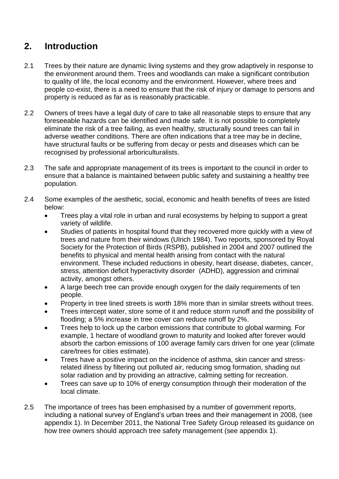## **2. Introduction**

- 2.1 Trees by their nature are dynamic living systems and they grow adaptively in response to the environment around them. Trees and woodlands can make a significant contribution to quality of life, the local economy and the environment. However, where trees and people co-exist, there is a need to ensure that the risk of injury or damage to persons and property is reduced as far as is reasonably practicable.
- 2.2 Owners of trees have a legal duty of care to take all reasonable steps to ensure that any foreseeable hazards can be identified and made safe. It is not possible to completely eliminate the risk of a tree failing, as even healthy, structurally sound trees can fail in adverse weather conditions. There are often indications that a tree may be in decline, have structural faults or be suffering from decay or pests and diseases which can be recognised by professional arboriculturalists.
- 2.3 The safe and appropriate management of its trees is important to the council in order to ensure that a balance is maintained between public safety and sustaining a healthy tree population.
- 2.4 Some examples of the aesthetic, social, economic and health benefits of trees are listed below:
	- Trees play a vital role in urban and rural ecosystems by helping to support a great variety of wildlife.
	- Studies of patients in hospital found that they recovered more quickly with a view of trees and nature from their windows (Ulrich 1984). Two reports, sponsored by Royal Society for the Protection of Birds (RSPB), published in 2004 and 2007 outlined the benefits to physical and mental health arising from contact with the natural environment. These included reductions in obesity, heart disease, diabetes, cancer, stress, [attention deficit hyperactivity disorder](http://www.google.co.uk/url?sa=t&rct=j&q=&esrc=s&source=web&cd=1&cad=rja&uact=8&ved=0ahUKEwiq4K-bovbSAhWrA8AKHURQBhoQFggmMAA&url=http%3A%2F%2Fwww.nhs.uk%2Fconditions%2FAttention-deficit-hyperactivity-disorder%2FPages%2FIntroduction.aspx&usg=AFQjCNEvFV0f2DAAtUGoRdmrS5DN4lQNTA&bvm=bv.150729734,d.d24) (ADHD), aggression and criminal activity, amongst others.
	- A large beech tree can provide enough oxygen for the daily requirements of ten people.
	- Property in tree lined streets is worth 18% more than in similar streets without trees.
	- Trees intercept water, store some of it and reduce storm runoff and the possibility of flooding; a 5% increase in tree cover can reduce runoff by 2%.
	- Trees help to lock up the carbon emissions that contribute to global warming. For example, 1 hectare of woodland grown to maturity and looked after forever would absorb the carbon emissions of 100 average family cars driven for one year (climate care/trees for cities estimate).
	- Trees have a positive impact on the incidence of asthma, skin cancer and stressrelated illness by filtering out polluted air, reducing smog formation, shading out solar radiation and by providing an attractive, calming setting for recreation.
	- Trees can save up to 10% of energy consumption through their moderation of the local climate.
- 2.5 The importance of trees has been emphasised by a number of government reports, including a national survey of England's urban trees and their management in 2008, (see appendix 1). In December 2011, the National Tree Safety Group released its guidance on how tree owners should approach tree safety management (see appendix 1).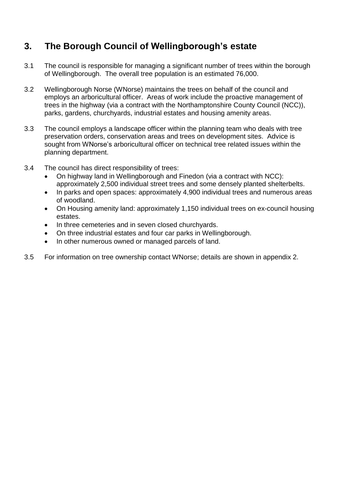# **3. The Borough Council of Wellingborough's estate**

- 3.1 The council is responsible for managing a significant number of trees within the borough of Wellingborough. The overall tree population is an estimated 76,000.
- 3.2 Wellingborough Norse (WNorse) maintains the trees on behalf of the council and employs an arboricultural officer. Areas of work include the proactive management of trees in the highway (via a contract with the Northamptonshire County Council (NCC)), parks, gardens, churchyards, industrial estates and housing amenity areas.
- 3.3 The council employs a landscape officer within the planning team who deals with tree preservation orders, conservation areas and trees on development sites. Advice is sought from WNorse's arboricultural officer on technical tree related issues within the planning department.
- 3.4 The council has direct responsibility of trees:
	- On highway land in Wellingborough and Finedon (via a contract with NCC): approximately 2,500 individual street trees and some densely planted shelterbelts.
	- In parks and open spaces: approximately 4,900 individual trees and numerous areas of woodland.
	- On Housing amenity land: approximately 1,150 individual trees on ex-council housing estates.
	- In three cemeteries and in seven closed churchyards.
	- On three industrial estates and four car parks in Wellingborough.
	- In other numerous owned or managed parcels of land.
- 3.5 For information on tree ownership contact WNorse; details are shown in appendix 2.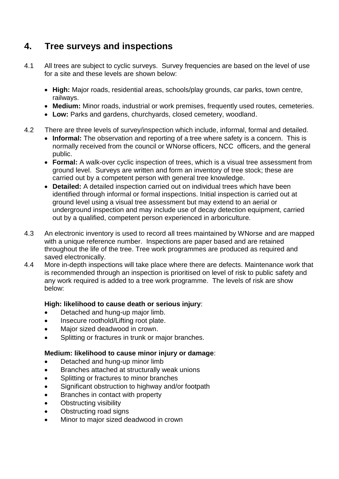# **4. Tree surveys and inspections**

- 4.1 All trees are subject to cyclic surveys. Survey frequencies are based on the level of use for a site and these levels are shown below:
	- **High:** Major roads, residential areas, schools/play grounds, car parks, town centre, railways.
	- **Medium:** Minor roads, industrial or work premises, frequently used routes, cemeteries.
	- **Low:** Parks and gardens, churchyards, closed cemetery, woodland.
- 4.2 There are three levels of survey/inspection which include, informal, formal and detailed.
	- **Informal:** The observation and reporting of a tree where safety is a concern. This is normally received from the council or WNorse officers, NCC officers, and the general public.
	- **Formal:** A walk-over cyclic inspection of trees, which is a visual tree assessment from ground level. Surveys are written and form an inventory of tree stock; these are carried out by a competent person with general tree knowledge.
	- **Detailed:** A detailed inspection carried out on individual trees which have been identified through informal or formal inspections. Initial inspection is carried out at ground level using a visual tree assessment but may extend to an aerial or underground inspection and may include use of decay detection equipment, carried out by a qualified, competent person experienced in arboriculture.
- 4.3 An electronic inventory is used to record all trees maintained by WNorse and are mapped with a unique reference number. Inspections are paper based and are retained throughout the life of the tree. Tree work programmes are produced as required and saved electronically.
- 4.4 More in-depth inspections will take place where there are defects. Maintenance work that is recommended through an inspection is prioritised on level of risk to public safety and any work required is added to a tree work programme. The levels of risk are show below:

#### **High: likelihood to cause death or serious injury**:

- Detached and hung-up major limb.
- Insecure roothold/Lifting root plate.
- Major sized deadwood in crown.
- Splitting or fractures in trunk or major branches.

#### **Medium: likelihood to cause minor injury or damage**:

- Detached and hung-up minor limb
- Branches attached at structurally weak unions
- Splitting or fractures to minor branches
- Significant obstruction to highway and/or footpath
- Branches in contact with property
- Obstructing visibility
- Obstructing road signs
- Minor to major sized deadwood in crown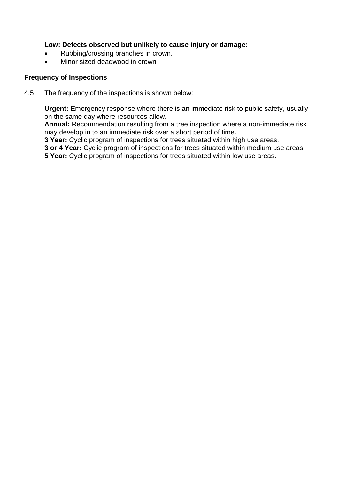#### **Low: Defects observed but unlikely to cause injury or damage:**

- Rubbing/crossing branches in crown.
- Minor sized deadwood in crown

#### **Frequency of Inspections**

4.5 The frequency of the inspections is shown below:

**Urgent:** Emergency response where there is an immediate risk to public safety, usually on the same day where resources allow.

**Annual:** Recommendation resulting from a tree inspection where a non-immediate risk may develop in to an immediate risk over a short period of time.

**3 Year:** Cyclic program of inspections for trees situated within high use areas.

**3 or 4 Year:** Cyclic program of inspections for trees situated within medium use areas.

**5 Year:** Cyclic program of inspections for trees situated within low use areas.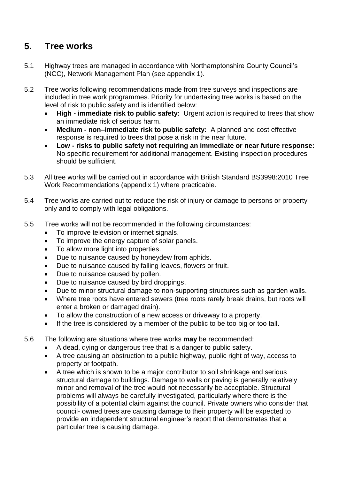## **5. Tree works**

- 5.1 Highway trees are managed in accordance with Northamptonshire County Council's (NCC), Network Management Plan (see appendix 1).
- 5.2 Tree works following recommendations made from tree surveys and inspections are included in tree work programmes. Priority for undertaking tree works is based on the level of risk to public safety and is identified below:
	- **High - immediate risk to public safety:** Urgent action is required to trees that show an immediate risk of serious harm.
	- **Medium - non–immediate risk to public safety:** A planned and cost effective response is required to trees that pose a risk in the near future.
	- **Low - risks to public safety not requiring an immediate or near future response:**  No specific requirement for additional management. Existing inspection procedures should be sufficient.
- 5.3 All tree works will be carried out in accordance with British Standard BS3998:2010 Tree Work Recommendations (appendix 1) where practicable.
- 5.4 Tree works are carried out to reduce the risk of injury or damage to persons or property only and to comply with legal obligations.
- 5.5 Tree works will not be recommended in the following circumstances:
	- To improve television or internet signals.
	- To improve the energy capture of solar panels.
	- To allow more light into properties.
	- Due to nuisance caused by honeydew from aphids.
	- Due to nuisance caused by falling leaves, flowers or fruit.
	- Due to nuisance caused by pollen.
	- Due to nuisance caused by bird droppings.
	- Due to minor structural damage to non-supporting structures such as garden walls.
	- Where tree roots have entered sewers (tree roots rarely break drains, but roots will enter a broken or damaged drain).
	- To allow the construction of a new access or driveway to a property.
	- If the tree is considered by a member of the public to be too big or too tall.
- 5.6 The following are situations where tree works **may** be recommended:
	- A dead, dying or dangerous tree that is a danger to public safety.
	- A tree causing an obstruction to a public highway, public right of way, access to property or footpath.
	- A tree which is shown to be a major contributor to soil shrinkage and serious structural damage to buildings. Damage to walls or paving is generally relatively minor and removal of the tree would not necessarily be acceptable. Structural problems will always be carefully investigated, particularly where there is the possibility of a potential claim against the council. Private owners who consider that council- owned trees are causing damage to their property will be expected to provide an independent structural engineer's report that demonstrates that a particular tree is causing damage.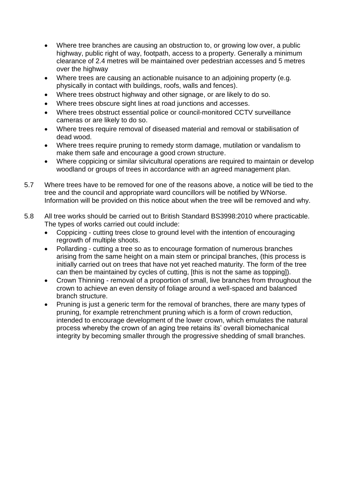- Where tree branches are causing an obstruction to, or growing low over, a public highway, public right of way, footpath, access to a property. Generally a minimum clearance of 2.4 metres will be maintained over pedestrian accesses and 5 metres over the highway
- Where trees are causing an actionable nuisance to an adjoining property (e.g. physically in contact with buildings, roofs, walls and fences).
- Where trees obstruct highway and other signage, or are likely to do so.
- Where trees obscure sight lines at road junctions and accesses.
- Where trees obstruct essential police or council-monitored CCTV surveillance cameras or are likely to do so.
- Where trees require removal of diseased material and removal or stabilisation of dead wood.
- Where trees require pruning to remedy storm damage, mutilation or vandalism to make them safe and encourage a good crown structure.
- Where coppicing or similar silvicultural operations are required to maintain or develop woodland or groups of trees in accordance with an agreed management plan.
- 5.7 Where trees have to be removed for one of the reasons above, a notice will be tied to the tree and the council and appropriate ward councillors will be notified by WNorse. Information will be provided on this notice about when the tree will be removed and why.
- 5.8 All tree works should be carried out to British Standard BS3998:2010 where practicable. The types of works carried out could include:
	- Coppicing cutting trees close to ground level with the intention of encouraging regrowth of multiple shoots.
	- Pollarding cutting a tree so as to encourage formation of numerous branches arising from the same height on a main stem or principal branches, (this process is initially carried out on trees that have not yet reached maturity. The form of the tree can then be maintained by cycles of cutting, [this is not the same as topping]).
	- Crown Thinning removal of a proportion of small, live branches from throughout the crown to achieve an even density of foliage around a well-spaced and balanced branch structure.
	- Pruning is just a generic term for the removal of branches, there are many types of pruning, for example retrenchment pruning which is a form of crown reduction, intended to encourage development of the lower crown, which emulates the natural process whereby the crown of an aging tree retains its' overall biomechanical integrity by becoming smaller through the progressive shedding of small branches.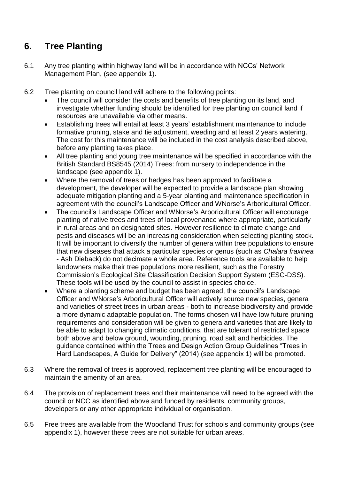# **6. Tree Planting**

- 6.1 Any tree planting within highway land will be in accordance with NCCs' Network Management Plan, (see appendix 1).
- 6.2 Tree planting on council land will adhere to the following points:
	- The council will consider the costs and benefits of tree planting on its land, and investigate whether funding should be identified for tree planting on council land if resources are unavailable via other means.
	- Establishing trees will entail at least 3 years' establishment maintenance to include formative pruning, stake and tie adjustment, weeding and at least 2 years watering. The cost for this maintenance will be included in the cost analysis described above, before any planting takes place.
	- All tree planting and young tree maintenance will be specified in accordance with the British Standard BS8545 (2014) Trees: from nursery to independence in the landscape (see appendix 1).
	- Where the removal of trees or hedges has been approved to facilitate a development, the developer will be expected to provide a landscape plan showing adequate mitigation planting and a 5-year planting and maintenance specification in agreement with the council's Landscape Officer and WNorse's Arboricultural Officer.
	- The council's Landscape Officer and WNorse's Arboricultural Officer will encourage planting of native trees and trees of local provenance where appropriate, particularly in rural areas and on designated sites. However resilience to climate change and pests and diseases will be an increasing consideration when selecting planting stock. It will be important to diversify the number of genera within tree populations to ensure that new diseases that attack a particular species or genus (such as *Chalara fraxinea*  - Ash Dieback) do not decimate a whole area. Reference tools are available to help landowners make their tree populations more resilient, such as the Forestry Commission's Ecological Site Classification Decision Support System (ESC-DSS). These tools will be used by the council to assist in species choice.
	- Where a planting scheme and budget has been agreed, the council's Landscape Officer and WNorse's Arboricultural Officer will actively source new species, genera and varieties of street trees in urban areas - both to increase biodiversity and provide a more dynamic adaptable population. The forms chosen will have low future pruning requirements and consideration will be given to genera and varieties that are likely to be able to adapt to changing climatic conditions, that are tolerant of restricted space both above and below ground, wounding, pruning, road salt and herbicides. The guidance contained within the Trees and Design Action Group Guidelines "Trees in Hard Landscapes, A Guide for Delivery" (2014) (see appendix 1) will be promoted.
- 6.3 Where the removal of trees is approved, replacement tree planting will be encouraged to maintain the amenity of an area.
- 6.4 The provision of replacement trees and their maintenance will need to be agreed with the council or NCC as identified above and funded by residents, community groups, developers or any other appropriate individual or organisation.
- 6.5 Free trees are available from the Woodland Trust for schools and community groups (see appendix 1), however these trees are not suitable for urban areas.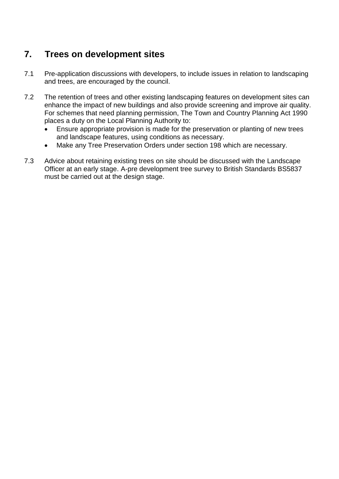# **7. Trees on development sites**

- 7.1 Pre-application discussions with developers, to include issues in relation to landscaping and trees, are encouraged by the council.
- 7.2 The retention of trees and other existing landscaping features on development sites can enhance the impact of new buildings and also provide screening and improve air quality. For schemes that need planning permission, The Town and Country Planning Act 1990 places a duty on the Local Planning Authority to:
	- Ensure appropriate provision is made for the preservation or planting of new trees and landscape features, using conditions as necessary.
	- Make any Tree Preservation Orders under section 198 which are necessary.
- 7.3 Advice about retaining existing trees on site should be discussed with the Landscape Officer at an early stage. A-pre development tree survey to British Standards BS5837 must be carried out at the design stage.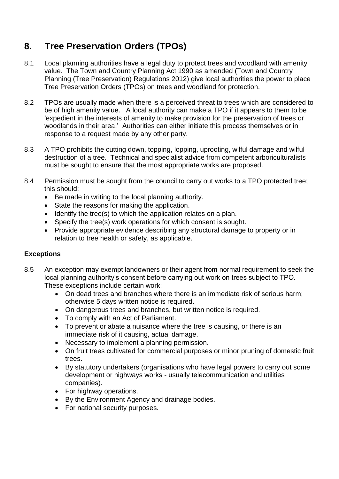# **8. Tree Preservation Orders (TPOs)**

- 8.1 Local planning authorities have a legal duty to protect trees and woodland with amenity value. The Town and Country Planning Act 1990 as amended (Town and Country Planning (Tree Preservation) Regulations 2012) give local authorities the power to place Tree Preservation Orders (TPOs) on trees and woodland for protection.
- 8.2 TPOs are usually made when there is a perceived threat to trees which are considered to be of high amenity value. A local authority can make a TPO if it appears to them to be 'expedient in the interests of amenity to make provision for the preservation of trees or woodlands in their area.' Authorities can either initiate this process themselves or in response to a request made by any other party.
- 8.3 A TPO prohibits the cutting down, topping, lopping, uprooting, wilful damage and wilful destruction of a tree. Technical and specialist advice from competent arboriculturalists must be sought to ensure that the most appropriate works are proposed.
- 8.4 Permission must be sought from the council to carry out works to a TPO protected tree; this should:
	- Be made in writing to the local planning authority.
	- State the reasons for making the application.
	- Identify the tree(s) to which the application relates on a plan.
	- Specify the tree(s) work operations for which consent is sought.
	- Provide appropriate evidence describing any structural damage to property or in relation to tree health or safety, as applicable.

#### **Exceptions**

- 8.5 An exception may exempt landowners or their agent from normal requirement to seek the local planning authority's consent before carrying out work on trees subject to TPO. These exceptions include certain work:
	- On dead trees and branches where there is an immediate risk of serious harm; otherwise 5 days written notice is required.
	- On dangerous trees and branches, but written notice is required.
	- To comply with an Act of Parliament.
	- To prevent or abate a nuisance where the tree is causing, or there is an immediate risk of it causing, actual damage.
	- Necessary to implement a planning permission.
	- On fruit trees cultivated for commercial purposes or minor pruning of domestic fruit trees.
	- By statutory undertakers (organisations who have legal powers to carry out some development or highways works - usually telecommunication and utilities companies).
	- For highway operations.
	- By the Environment Agency and drainage bodies.
	- For national security purposes.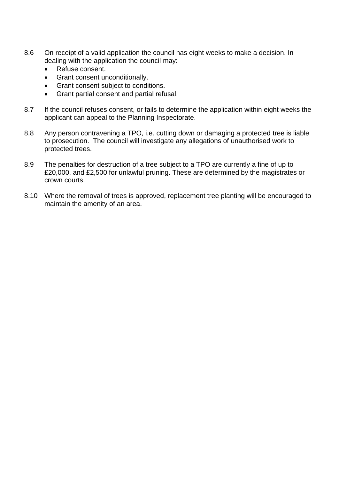- 8.6 On receipt of a valid application the council has eight weeks to make a decision. In dealing with the application the council may:
	- Refuse consent.
	- Grant consent unconditionally.
	- Grant consent subject to conditions.
	- Grant partial consent and partial refusal.
- 8.7 If the council refuses consent, or fails to determine the application within eight weeks the applicant can appeal to the Planning Inspectorate.
- 8.8 Any person contravening a TPO, i.e. cutting down or damaging a protected tree is liable to prosecution. The council will investigate any allegations of unauthorised work to protected trees.
- 8.9 The penalties for destruction of a tree subject to a TPO are currently a fine of up to £20,000, and £2,500 for unlawful pruning. These are determined by the magistrates or crown courts.
- 8.10 Where the removal of trees is approved, replacement tree planting will be encouraged to maintain the amenity of an area.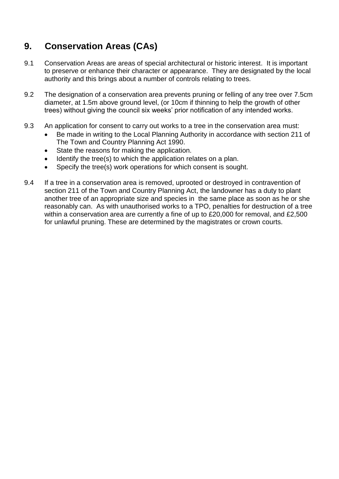# **9. Conservation Areas (CAs)**

- 9.1 Conservation Areas are areas of special architectural or historic interest. It is important to preserve or enhance their character or appearance. They are designated by the local authority and this brings about a number of controls relating to trees.
- 9.2 The designation of a conservation area prevents pruning or felling of any tree over 7.5cm diameter, at 1.5m above ground level, (or 10cm if thinning to help the growth of other trees) without giving the council six weeks' prior notification of any intended works.
- 9.3 An application for consent to carry out works to a tree in the conservation area must:
	- Be made in writing to the Local Planning Authority in accordance with section 211 of The Town and Country Planning Act 1990.
	- State the reasons for making the application.
	- Identify the tree(s) to which the application relates on a plan.
	- Specify the tree(s) work operations for which consent is sought.
- 9.4 If a tree in a conservation area is removed, uprooted or destroyed in contravention of section 211 of the Town and Country Planning Act, the landowner has a duty to plant another tree of an appropriate size and species in the same place as soon as he or she reasonably can. As with unauthorised works to a TPO, penalties for destruction of a tree within a conservation area are currently a fine of up to £20,000 for removal, and £2,500 for unlawful pruning. These are determined by the magistrates or crown courts.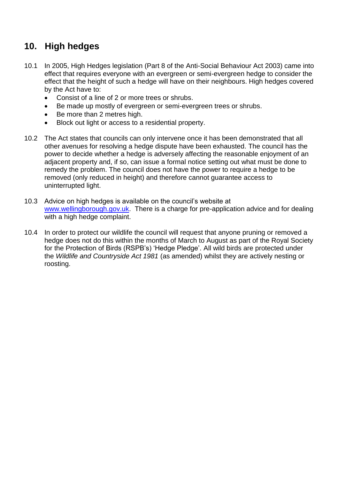# **10. High hedges**

- 10.1 In 2005, High Hedges legislation (Part 8 of the Anti-Social Behaviour Act 2003) came into effect that requires everyone with an evergreen or semi-evergreen hedge to consider the effect that the height of such a hedge will have on their neighbours. High hedges covered by the Act have to:
	- Consist of a line of 2 or more trees or shrubs.
	- Be made up mostly of evergreen or semi-evergreen trees or shrubs.
	- Be more than 2 metres high.
	- Block out light or access to a residential property.
- 10.2 The Act states that councils can only intervene once it has been demonstrated that all other avenues for resolving a hedge dispute have been exhausted. The council has the power to decide whether a hedge is adversely affecting the reasonable enjoyment of an adjacent property and, if so, can issue a formal notice setting out what must be done to remedy the problem. The council does not have the power to require a hedge to be removed (only reduced in height) and therefore cannot guarantee access to uninterrupted light.
- 10.3 Advice on high hedges is available on the council's website at [www.wellingborough.gov.uk.](http://www.wellingborough.gov.uk/) There is a charge for pre-application advice and for dealing with a high hedge complaint.
- 10.4 In order to protect our wildlife the council will request that anyone pruning or removed a hedge does not do this within the months of March to August as part of the Royal Society for the Protection of Birds (RSPB's) 'Hedge Pledge'. All wild birds are protected under the *Wildlife and Countryside Act 1981* (as amended) whilst they are actively nesting or roosting.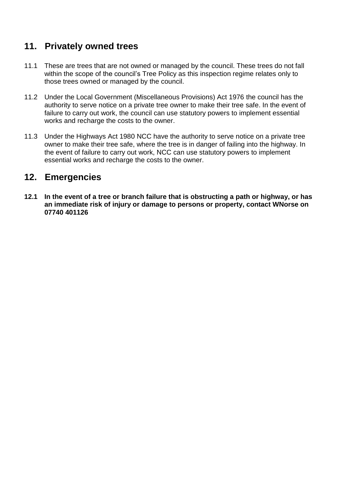#### **11. Privately owned trees**

- 11.1 These are trees that are not owned or managed by the council. These trees do not fall within the scope of the council's Tree Policy as this inspection regime relates only to those trees owned or managed by the council.
- 11.2 Under the Local Government (Miscellaneous Provisions) Act 1976 the council has the authority to serve notice on a private tree owner to make their tree safe. In the event of failure to carry out work, the council can use statutory powers to implement essential works and recharge the costs to the owner.
- 11.3 Under the Highways Act 1980 NCC have the authority to serve notice on a private tree owner to make their tree safe, where the tree is in danger of failing into the highway. In the event of failure to carry out work, NCC can use statutory powers to implement essential works and recharge the costs to the owner.

#### **12. Emergencies**

**12.1 In the event of a tree or branch failure that is obstructing a path or highway, or has an immediate risk of injury or damage to persons or property, contact WNorse on 07740 401126**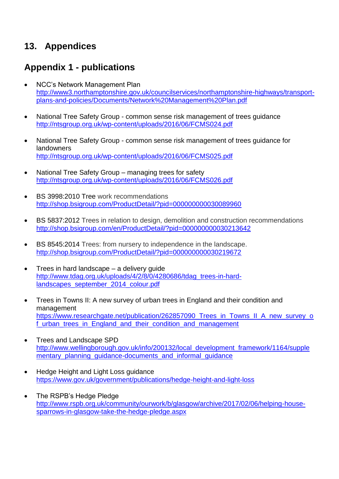# **13. Appendices**

# **Appendix 1 - publications**

- NCC's Network Management Plan [http://www3.northamptonshire.gov.uk/councilservices/northamptonshire-highways/transport](http://www3.northamptonshire.gov.uk/councilservices/northamptonshire-highways/transport-plans-and-policies/Documents/Network%20Management%20Plan.pdf)[plans-and-policies/Documents/Network%20Management%20Plan.pdf](http://www3.northamptonshire.gov.uk/councilservices/northamptonshire-highways/transport-plans-and-policies/Documents/Network%20Management%20Plan.pdf)
- National Tree Safety Group common sense risk management of trees guidance <http://ntsgroup.org.uk/wp-content/uploads/2016/06/FCMS024.pdf>
- National Tree Safety Group common sense risk management of trees guidance for landowners <http://ntsgroup.org.uk/wp-content/uploads/2016/06/FCMS025.pdf>
- National Tree Safety Group managing trees for safety <http://ntsgroup.org.uk/wp-content/uploads/2016/06/FCMS026.pdf>
- BS 3998:2010 Tree work recommendations <http://shop.bsigroup.com/ProductDetail/?pid=000000000030089960>
- BS 5837:2012 Trees in relation to design, demolition and construction recommendations <http://shop.bsigroup.com/en/ProductDetail/?pid=000000000030213642>
- BS 8545:2014 Trees: from nursery to independence in the landscape. <http://shop.bsigroup.com/ProductDetail/?pid=000000000030219672>
- Trees in hard landscape a delivery quide [http://www.tdag.org.uk/uploads/4/2/8/0/4280686/tdag\\_trees-in-hard](http://www.tdag.org.uk/uploads/4/2/8/0/4280686/tdag_trees-in-hard-landscapes_september_2014_colour.pdf)[landscapes\\_september\\_2014\\_colour.pdf](http://www.tdag.org.uk/uploads/4/2/8/0/4280686/tdag_trees-in-hard-landscapes_september_2014_colour.pdf)
- Trees in Towns II: A new survey of urban trees in England and their condition and management [https://www.researchgate.net/publication/262857090\\_Trees\\_in\\_Towns\\_II\\_A\\_new\\_survey\\_o](https://www.researchgate.net/publication/262857090_Trees_in_Towns_II_A_new_survey_of_urban_trees_in_England_and_their_condition_and_management) f urban trees in England and their condition and management
- Trees and Landscape SPD [http://www.wellingborough.gov.uk/info/200132/local\\_development\\_framework/1164/supple](http://www.wellingborough.gov.uk/info/200132/local_development_framework/1164/supplementary_planning_guidance-documents_and_informal_guidance) mentary\_planning\_quidance-documents\_and\_informal\_quidance
- Hedge Height and Light Loss guidance <https://www.gov.uk/government/publications/hedge-height-and-light-loss>
- The RSPB's Hedge Pledge [http://www.rspb.org.uk/community/ourwork/b/glasgow/archive/2017/02/06/helping-house](http://www.rspb.org.uk/community/ourwork/b/glasgow/archive/2017/02/06/helping-house-sparrows-in-glasgow-take-the-hedge-pledge.aspx)[sparrows-in-glasgow-take-the-hedge-pledge.aspx](http://www.rspb.org.uk/community/ourwork/b/glasgow/archive/2017/02/06/helping-house-sparrows-in-glasgow-take-the-hedge-pledge.aspx)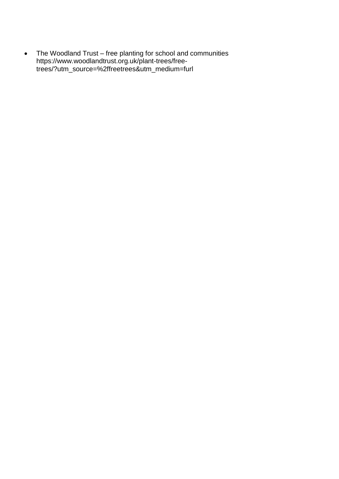The Woodland Trust – free planting for school and communities https://www.woodlandtrust.org.uk/plant-trees/freetrees/?utm\_source=%2ffreetrees&utm\_medium=furl